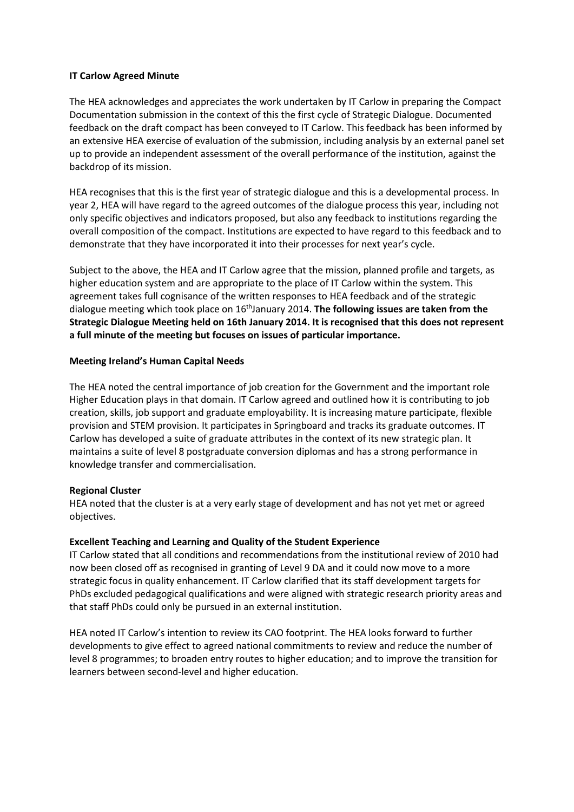#### **IT Carlow Agreed Minute**

The HEA acknowledges and appreciates the work undertaken by IT Carlow in preparing the Compact Documentation submission in the context of this the first cycle of Strategic Dialogue. Documented feedback on the draft compact has been conveyed to IT Carlow. This feedback has been informed by an extensive HEA exercise of evaluation of the submission, including analysis by an external panel set up to provide an independent assessment of the overall performance of the institution, against the backdrop of its mission.

HEA recognises that this is the first year of strategic dialogue and this is a developmental process. In year 2, HEA will have regard to the agreed outcomes of the dialogue process this year, including not only specific objectives and indicators proposed, but also any feedback to institutions regarding the overall composition of the compact. Institutions are expected to have regard to this feedback and to demonstrate that they have incorporated it into their processes for next year's cycle.

Subject to the above, the HEA and IT Carlow agree that the mission, planned profile and targets, as higher education system and are appropriate to the place of IT Carlow within the system. This agreement takes full cognisance of the written responses to HEA feedback and of the strategic dialogue meeting which took place on 16<sup>th</sup>January 2014. **The following issues are taken from the Strategic Dialogue Meeting held on 16th January 2014. It is recognised that this does not represent a full minute of the meeting but focuses on issues of particular importance.**

#### **Meeting Ireland's Human Capital Needs**

The HEA noted the central importance of job creation for the Government and the important role Higher Education plays in that domain. IT Carlow agreed and outlined how it is contributing to job creation, skills, job support and graduate employability. It is increasing mature participate, flexible provision and STEM provision. It participates in Springboard and tracks its graduate outcomes. IT Carlow has developed a suite of graduate attributes in the context of its new strategic plan. It maintains a suite of level 8 postgraduate conversion diplomas and has a strong performance in knowledge transfer and commercialisation.

# **Regional Cluster**

HEA noted that the cluster is at a very early stage of development and has not yet met or agreed objectives.

#### **Excellent Teaching and Learning and Quality of the Student Experience**

IT Carlow stated that all conditions and recommendations from the institutional review of 2010 had now been closed off as recognised in granting of Level 9 DA and it could now move to a more strategic focus in quality enhancement. IT Carlow clarified that its staff development targets for PhDs excluded pedagogical qualifications and were aligned with strategic research priority areas and that staff PhDs could only be pursued in an external institution.

HEA noted IT Carlow's intention to review its CAO footprint. The HEA looks forward to further developments to give effect to agreed national commitments to review and reduce the number of level 8 programmes; to broaden entry routes to higher education; and to improve the transition for learners between second-level and higher education.